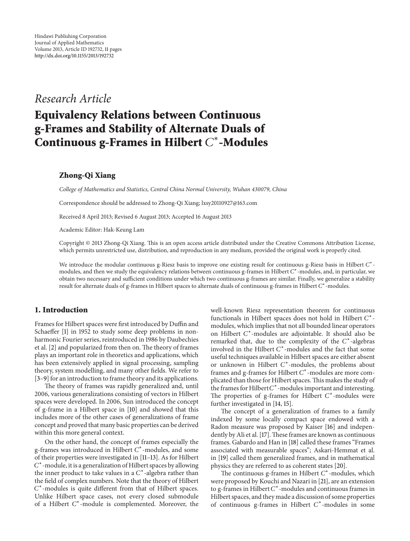## *Research Article*

# **Equivalency Relations between Continuous g-Frames and Stability of Alternate Duals of Continuous g-Frames in Hilbert**  $C^*$ -Modules

### **Zhong-Qi Xiang**

*College of Mathematics and Statistics, Central China Normal University, Wuhan 430079, China*

Correspondence should be addressed to Zhong-Qi Xiang; lxsy20110927@163.com

Received 8 April 2013; Revised 6 August 2013; Accepted 16 August 2013

Academic Editor: Hak-Keung Lam

Copyright © 2013 Zhong-Qi Xiang. This is an open access article distributed under the Creative Commons Attribution License, which permits unrestricted use, distribution, and reproduction in any medium, provided the original work is properly cited.

We introduce the modular continuous g-Riesz basis to improve one existing result for continuous g-Riesz basis in Hilbert C<sup>\*</sup>modules, and then we study the equivalency relations between continuous g-frames in Hilbert  $C^*$ -modules, and, in particular, we obtain two necessary and sufficient conditions under which two continuous g-frames are similar. Finally, we generalize a stability result for alternate duals of g-frames in Hilbert spaces to alternate duals of continuous g-frames in Hilbert C\*-modules.

#### **1. Introduction**

Frames for Hilbert spaces were first introduced by Duffin and Schaeffer [1] in 1952 to study some deep problems in nonharmonic Fourier series, reintroduced in 1986 by Daubechies et al. [2] and popularized from then on. The theory of frames plays an important role in theoretics and applications, which has been extensively applied in signal processing, sampling theory, system modelling, and many other fields. We refer to [3–9] for an introduction to frame theory and its applications.

The theory of frames was rapidly generalized and, until 2006, various generalizations consisting of vectors in Hilbert spaces were developed. In 2006, Sun introduced the concept of g-frame in a Hilbert space in [10] and showed that this includes more of the other cases of generalizations of frame concept and proved that many basic properties can be derived within this more general context.

On the other hand, the concept of frames especially the g-frames was introduced in Hilbert C<sup>\*</sup>-modules, and some of their properties were investigated in [11–13]. As for Hilbert C<sup>\*</sup>-module, it is a generalization of Hilbert spaces by allowing the inner product to take values in a  $C^*$ -algebra rather than the field of complex numbers. Note that the theory of Hilbert  $C^*$ -modules is quite different from that of Hilbert spaces. Unlike Hilbert space cases, not every closed submodule of a Hilbert  $C^*$ -module is complemented. Moreover, the well-known Riesz representation theorem for continuous functionals in Hilbert spaces does not hold in Hilbert  $C^*$ modules, which implies that not all bounded linear operators on Hilbert C<sup>\*</sup>-modules are adjointable. It should also be remarked that, due to the complexity of the  $C^*$ -algebras involved in the Hilbert  $C^*$ -modules and the fact that some useful techniques available in Hilbert spaces are either absent or unknown in Hilbert  $C^*$ -modules, the problems about frames and g-frames for Hilbert  $C^*$ -modules are more complicated than those for Hilbert spaces.This makes the study of the frames for Hilbert  $C^*$ -modules important and interesting. The properties of g-frames for Hilbert  $C^*$ -modules were further investigated in [14, 15].

The concept of a generalization of frames to a family indexed by some locally compact space endowed with a Radon measure was proposed by Kaiser [16] and independently by Ali et al. [17]. These frames are known as continuous frames. Gabardo and Han in [18] called these frames "Frames associated with measurable spaces"; Askari-Hemmat et al. in [19] called them generalized frames, and in mathematical physics they are referred to as coherent states [20].

The continuous g-frames in Hilbert  $C^*$ -modules, which were proposed by Kouchi and Nazari in [21], are an extension to g-frames in Hilbert  $C^*$ -modules and continuous frames in Hilbert spaces, and they made a discussion of some properties of continuous g-frames in Hilbert  $C^*$ -modules in some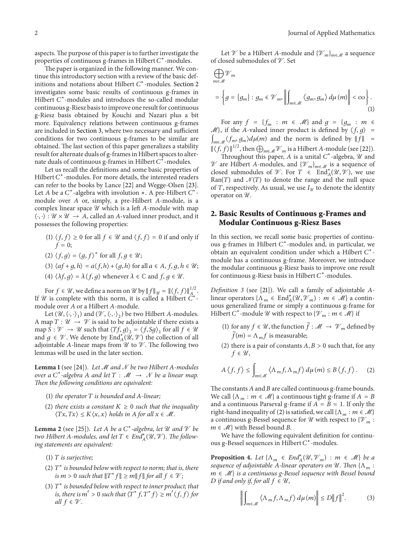aspects. The purpose of this paper is to further investigate the properties of continuous g-frames in Hilbert  $C^*$ -modules.

The paper is organized in the following manner. We continue this introductory section with a review of the basic definitions and notations about Hilbert  $C^*$ -modules. Section 2 investigates some basic results of continuous g-frames in Hilbert  $C^*$ -modules and introduces the so-called modular continuous g-Riesz basis to improve one result for continuous g-Riesz basis obtained by Kouchi and Nazari plus a bit more. Equivalency relations between continuous g-frames are included in Section 3, where two necessary and sufficient conditions for two continuous g-frames to be similar are obtained. The last section of this paper generalizes a stability result for alternate duals of g-frames in Hilbert spaces to alternate duals of continuous g-frames in Hilbert  $C^*$ -modules.

Let us recall the definitions and some basic properties of Hilbert  $C^*$ -modules. For more details, the interested readers can refer to the books by Lance [22] and Wegge-Olsen [23]. Let *A* be a  $C^*$ -algebra with involution ∗. A pre-Hilbert  $C^*$ module over  $A$  or, simply, a pre-Hilbert  $A$ -module, is a complex linear space  $\mathcal U$  which is a left A-module with map  $\langle \cdot, \cdot \rangle : \mathcal{U} \times \mathcal{U} \rightarrow A$ , called an A-valued inner product, and it possesses the following properties:

- (1)  $\langle f, f \rangle \ge 0$  for all  $f \in \mathcal{U}$  and  $\langle f, f \rangle = 0$  if and only if  $f=0;$
- (2)  $\langle f, g \rangle = \langle g, f \rangle^*$  for all  $f, g \in \mathcal{U}$ ;
- (3)  $\langle af+g, h \rangle = a \langle f, h \rangle + \langle g, h \rangle$  for all  $a \in A$ ,  $f, g, h \in \mathcal{U}$ ;
- (4)  $\langle \lambda f, g \rangle = \lambda \langle f, g \rangle$  whenever  $\lambda \in \mathbb{C}$  and  $f, g \in \mathcal{U}$ .

For  $f \in \mathcal{U}$ , we define a norm on  $\mathcal{U}$  by  $\|f\|_{\mathcal{U}} = \| \langle f, f \rangle \|_{A_{\perp}}^{1/2}$ . If  $U$  is complete with this norm, it is called a Hilbert  $C$ module over A or a Hilbert A-module.

Let  $(\mathcal{U}, \langle \cdot, \cdot \rangle)$  and  $(\mathcal{V}, \langle \cdot, \cdot \rangle)$  be two Hilbert A-modules. A map  $T: \mathcal{U} \to \mathcal{V}$  is said to be adjointable if there exists a map  $S : \mathcal{V} \to \mathcal{U}$  such that  $\langle Tf, g \rangle_2 = \langle f, Sg \rangle_1$  for all  $f \in \mathcal{U}$ and  $g \in \mathcal{V}$ . We denote by  $\text{End}_{A}^{*}(\mathcal{U}, \mathcal{V})$  the collection of all adjointable A-linear maps from  $\mathcal U$  to  $\mathcal V$ . The following two lemmas will be used in the later section.

Lemma 1 (see [24]). Let M and N be two Hilbert A-modules *over a*  $C^*$ -algebra A and let  $T : \mathcal{M} \to \mathcal{N}$  be a linear map. *Then the following conditions are equivalent:*

- (1) *the operator*  $T$  *is bounded and A-linear;*
- (2) *there exists a constant*  $K \geq 0$  *such that the inequality*  $\langle Tx, Tx \rangle \leq K \langle x, x \rangle$  holds in A for all  $x \in \mathcal{M}$ .

**Lemma 2** (see [25]). Let A be a  $C^*$ -algebra, let U and V be *two Hilbert A-modules, and let*  $T \in \text{End}_{A}^{*}(\mathcal{U}, \mathcal{V})$ *. The following statements are equivalent:*

- (1) *is surjective;*
- (2)  $T^*$  *is bounded below with respect to norm; that is, there is*  $m > 0$  *such that*  $||T^* f|| \ge m||f||$  *for all*  $f \in \mathcal{V}$ ;
- (3)  $T^*$  *is bounded below with respect to inner product; that is, there is*  $m' > 0$  *such that*  $\langle T^* f, T^* f \rangle \ge m' \langle f, f \rangle$  for *all*  $f \in \mathcal{V}$ .

Let  $\mathcal V$  be a Hilbert A-module and  $\{\mathcal V_m\}_{m\in\mathcal M}$  a sequence of closed submodules of  $\mathcal V$ . Set

$$
\bigoplus_{m \in \mathcal{M}} \mathcal{V}_m
$$
\n
$$
= \left\{ g = \{g_m\} : g_m \in \mathcal{V}_m, \left\| \int_{m \in \mathcal{M}} \left\langle g_m, g_m \right\rangle d\mu(m) \right\| < \infty \right\}. \tag{1}
$$

For any  $f = \{f_m : m \in \mathcal{M}\}\$ and  $g = \{g_m : m \in \mathcal{M}\}\$  $\mathcal{M}$ , if the A-valued inner product is defined by  $\langle f, g \rangle$  =  $\int_{m \in \mathcal{M}} \langle f_m, g_m \rangle d\mu(m)$  and the norm is defined by  $||f|| =$  $\|\langle f, f \rangle\|^{1/2}$ , then  $\bigoplus_{m \in \mathcal{M}} \mathcal{V}_m$  is a Hilbert A-module (see [22]).

Throughout this paper, A is a unital  $C^*$ -algebra,  $\mathcal U$  and  $\mathcal V$  are Hilbert A-modules, and  $\{\mathcal V_m\}_{m\in\mathcal M}$  is a sequence of closed submodules of  $\mathcal V$ . For  $T \in \text{End}_{A}^*(\mathcal U, \mathcal V)$ , we use Ran(T) and  $\mathcal{N}(T)$  to denote the range and the null space of T, respectively. As usual, we use  $I_{\mathcal{U}}$  to denote the identity operator on  $\mathcal{U}$ .

#### **2. Basic Results of Continuous g-Frames and Modular Continuous g-Riesz Bases**

In this section, we recall some basic properties of continuous g-frames in Hilbert  $C^*$ -modules and, in particular, we obtain an equivalent condition under which a Hilbert  $C^*$ module has a continuous g-frame. Moreover, we introduce the modular continuous g-Riesz basis to improve one result for continuous g-Riesz basis in Hilbert  $C^*$ -modules.

*Definition 3* (see [21]). We call a family of adjointable Alinear operators  $\{\Lambda_m \in \text{End}_{A}^*(\mathcal{U}, \mathcal{V}_m) : m \in \mathcal{M}\}\$ a continuous generalized frame or simply a continuous g-frame for Hilbert C<sup>\*</sup>-module U with respect to  $\{V_m : m \in \mathcal{M}\}\$ if

- (1) for any  $f \in \mathcal{U}$ , the function  $\tilde{f} : \mathcal{M} \to \mathcal{V}_m$  defined by  $\widetilde{f}(m) = \Lambda_m f$  is measurable;
- (2) there is a pair of constants  $A, B > 0$  such that, for any  $f \in \mathcal{U}$ ,

$$
A\left\langle f,f\right\rangle \leq \int_{m\in\mathcal{M}}\left\langle \Lambda_{m}f,\Lambda_{m}f\right\rangle d\mu(m) \leq B\left\langle f,f\right\rangle. \tag{2}
$$

The constants  $A$  and  $B$  are called continuous g-frame bounds. We call  $\{\Lambda_m : m \in \mathcal{M}\}\$ a continuous tight g-frame if  $A = B$ and a continuous Parseval g-frame if  $A = B = 1$ . If only the right-hand inequality of (2) is satisfied, we call  $\{\Lambda_m : m \in \mathcal{M}\}\$ a continuous g-Bessel sequence for  ${\mathcal U}$  with respect to  $\{ {\mathcal V}_m:$  $m \in \mathcal{M}$  with Bessel bound B.

We have the following equivalent definition for continuous g-Bessel sequences in Hilbert C\*-modules.

**Proposition 4.** Let  $\{\Lambda_m \in \text{End}_{A}^*(\mathcal{U}, \mathcal{V}_m) : m \in \mathcal{M}\}\)$  be a *sequence of adjointable A-linear operators on*  $\mathcal{U}$ *. Then*  $\{\Lambda_m :$  ∈ M} *is a continuous g-Bessel sequence with Bessel bound D* if and only if, for all  $f \in \mathcal{U}$ ,

$$
\left\| \int_{m \in \mathcal{M}} \left\langle \Lambda_m f, \Lambda_m f \right\rangle d\mu(m) \right\| \le D \|f\|^2. \tag{3}
$$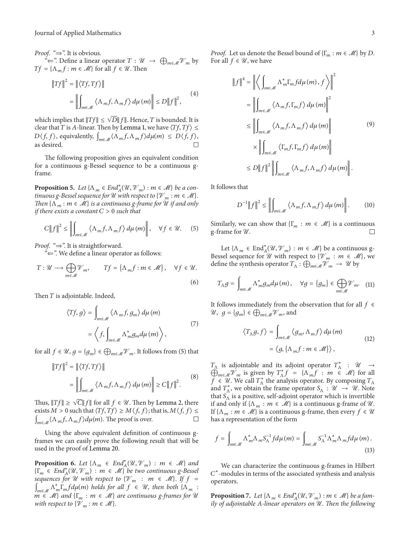*Proof.* "⇒". It is obvious.

 $\stackrel{\alpha}{\leftarrow}$ ". Define a linear operator  $T : \mathcal{U} \to \bigoplus_{m \in \mathcal{M}} \mathcal{V}_m$  by  $Tf = {\Lambda_m f : m \in \mathcal{M}}$  for all  $f \in \mathcal{U}$ . Then

$$
||Tf||^{2} = ||\langle Tf, Tf \rangle||
$$
  
= 
$$
\left\| \int_{m \in \mathcal{M}} \langle \Lambda_{m} f, \Lambda_{m} f \rangle d\mu(m) \right\| \le D ||f||^{2},
$$
 (4)

which implies that  $||Tf|| \le \sqrt{D} ||f||$ . Hence, T is bounded. It is clear that T is A-linear. Then by Lemma 1, we have  $\langle Tf, Tf \rangle \le$  $D\langle f, f \rangle$ , equivalently,  $\int_{m \in \mathcal{M}} \langle \Lambda_m f, \Lambda_m f \rangle d\mu(m) \leq D\langle f, f \rangle$ , as desired.

The following proposition gives an equivalent condition for a continuous g-Bessel sequence to be a continuous gframe.

**Proposition 5.** *Let*  $\{\Lambda_m \in \text{End}_{\mathcal{A}}^*(\mathcal{U}, \mathcal{V}_m) : m \in \mathcal{M}\}$  *be a continuous g-Bessel sequence for*  $\mathcal U$  *with respect to*  $\{ \mathcal V_m : m \in \mathcal M \}$ *. Then*  $\{\Lambda_m : m \in \mathcal{M}\}\$ is a continuous g-frame for U if and only *if there exists a constant*  $C > 0$  *such that* 

$$
C||f||^{2} \leq \left\|\int_{m\in\mathcal{M}}\left\langle \Lambda_{m}f,\Lambda_{m}f\right\rangle d\mu(m)\right\|, \quad \forall f \in \mathcal{U}.
$$
 (5)

*Proof.* "⇒". It is straightforward.

"⇐". We define a linear operator as follows:

$$
T: \mathcal{U} \longrightarrow \bigoplus_{m \in \mathcal{M}} \mathcal{V}_m, \qquad Tf = \{\Lambda_m f : m \in \mathcal{M}\}, \quad \forall f \in \mathcal{U}.
$$
\n(6)

Then  $T$  is adjointable. Indeed,

$$
\langle Tf, g \rangle = \int_{m \in \mathcal{M}} \langle \Lambda_m f, g_m \rangle d\mu(m)
$$

$$
= \left\langle f, \int_{m \in \mathcal{M}} \Lambda_m^* g_m d\mu(m) \right\rangle, \tag{7}
$$

for all  $f \in \mathcal{U}, g = \{g_m\} \in \bigoplus_{m \in \mathcal{M}} \mathcal{V}_m$ . It follows from (5) that

$$
||Tf||^{2} = ||\langle Tf, Tf \rangle||
$$
  
= 
$$
\left\| \int_{m \in \mathcal{M}} \langle \Lambda_{m} f, \Lambda_{m} f \rangle d\mu(m) \right\| \geq C ||f||^{2}.
$$
 (8)

Thus,  $||Tf|| \ge \sqrt{C} ||f||$  for all  $f \in \mathcal{U}$ . Then by Lemma 2, there exists  $M>0$  such that  $\langle Tf, Tf\rangle\geq M\langle f,f\rangle;$  that is,  $M\langle f,f\rangle\leq$  $\int_{m\in\mathcal{M}} \langle \Lambda_m f, \Lambda_m f \rangle d\mu(m)$ . The proof is over.  $\Box$ 

Using the above equivalent definition of continuous gframes we can easily prove the following result that will be used in the proof of Lemma 20.

**Proposition 6.** Let  $\{\Lambda_m \in \text{End}_{\mathcal{A}}^*(\mathcal{U}, \mathcal{V}_m) : m \in \mathcal{M}\}\$ and  ${\{\Gamma_m \in End^*_A(\mathcal{U}, \mathcal{V}_m) : m \in \mathcal{M}\}}$  *be two continuous g-Bessel sequences for*  $U$  *with respect to*  $\{V_m : m \in M\}$ *. If*  $f =$  $\int_{m \in \mathcal{M}} \Lambda_m^* \Gamma_m f d\mu(m)$  holds for all  $f \in \mathcal{U}$ , then both  $\{\Lambda_m :$  $m \in \mathcal{M}$  *and*  $\{\Gamma_m : m \in \mathcal{M}\}\$  *are continuous g-frames for*  $\mathcal{U}$ *with respect to*  $\{W_m : m \in M\}$ .

*Proof.* Let us denote the Bessel bound of  $\{\Gamma_m : m \in \mathcal{M}\}\$  by D. For all  $f \in \mathcal{U}$ , we have

$$
\|f\|^4 = \left\| \left\langle \int_{m \in \mathcal{M}} \Lambda_m^* \Gamma_m f d\mu(m), f \right\rangle \right\|^2
$$
  
\n
$$
= \left\| \int_{m \in \mathcal{M}} \left\langle \Lambda_m f, \Gamma_m f \right\rangle d\mu(m) \right\|^2
$$
  
\n
$$
\leq \left\| \int_{m \in \mathcal{M}} \left\langle \Lambda_m f, \Lambda_m f \right\rangle d\mu(m) \right\|
$$
  
\n
$$
\times \left\| \int_{m \in \mathcal{M}} \left\langle \Gamma_m f, \Gamma_m f \right\rangle d\mu(m) \right\|
$$
  
\n
$$
\leq D \|f\|^2 \left\| \int_{m \in \mathcal{M}} \left\langle \Lambda_m f, \Lambda_m f \right\rangle d\mu(m) \right\|.
$$
 (9)

It follows that

$$
D^{-1}||f||^{2} \leq \left\|\int_{m\in\mathcal{M}}\left\langle \Lambda_{m}f, \Lambda_{m}f\right\rangle d\mu(m)\right\|.
$$
 (10)

Similarly, we can show that  $\{\Gamma_m : m \in \mathcal{M}\}\$  is a continuous g-frame for  $\mathcal{U}$ . g-frame for  $\mathcal{U}$ .

Let  $\{\Lambda_m \in \text{End}_{\mathcal{A}}^*(\mathcal{U}, \mathcal{V}_m) : m \in \mathcal{M}\}\$  be a continuous g-Bessel sequence for  $\mathcal U$  with respect to  $\{\mathcal V_m : m \in \mathcal M\}$ , we define the synthesis operator  $T_{\Lambda}$ :  $\bigoplus_{m \in \mathcal{M}} \mathcal{V}_m \to \mathcal{U}$  by

$$
T_{\Lambda}g = \int_{m \in \mathcal{M}} \Lambda^*_{m}g_{m}d\mu(m), \quad \forall g = \{g_{m}\} \in \bigoplus_{m \in \mathcal{M}} \mathcal{V}_{m}. \quad (11)
$$

It follows immediately from the observation that for all  $f \in$  $\mathcal{U}, g = \{g_m\} \in \bigoplus_{m \in \mathcal{M}} \mathcal{V}_m$ , and

$$
\langle T_{\Lambda}g, f \rangle = \int_{m \in \mathcal{M}} \langle g_m, \Lambda_m f \rangle d\mu(m)
$$

$$
= \langle g, \{\Lambda_m f : m \in \mathcal{M}\} \rangle, \qquad (12)
$$

 $T_A$  is adjointable and its adjoint operator  $T_A^*$  :  $\mathcal{U} \rightarrow$  $\bigoplus_{m\in\mathcal{M}}\mathcal{V}_m$  is given by  $T_{\Lambda}^*f = {\Lambda_m f : m \in \mathcal{M}}$  for all  $\overline{f} \in \mathcal{U}$ . We call  $T_{\Lambda}^*$  the analysis operator. By composing  $T_{\Lambda}$ and  $T_{\Lambda}^*$ , we obtain the frame operator  $S_{\Lambda} : \mathcal{U} \to \mathcal{U}$ . Note that  $S_\Lambda$  is a positive, self-adjoint operator which is invertible if and only if  $\{\Lambda_m : m \in \mathcal{M}\}\$ is a continuous g-frame of  $\mathcal{U}$ . If  $\{\Lambda_m : m \in \mathcal{M}\}\$ is a continuous g-frame, then every  $f \in \mathcal{U}$ has a representation of the form

$$
f = \int_{m \in \mathcal{M}} \Lambda_m^* \Lambda_m S_{\Lambda}^{-1} f d\mu(m) = \int_{m \in \mathcal{M}} S_{\Lambda}^{-1} \Lambda_m^* \Lambda_m f d\mu(m).
$$
\n(13)

We can characterize the continuous g-frames in Hilbert  $C^*$ -modules in terms of the associated synthesis and analysis operators.

**Proposition 7.** *Let*  $\{\Lambda_m \in \text{End}_{A}^*(\mathcal{U}, \mathcal{V}_m) : m \in \mathcal{M}\}\$  *be a family of adjointable -linear operators on* U*. Then the following*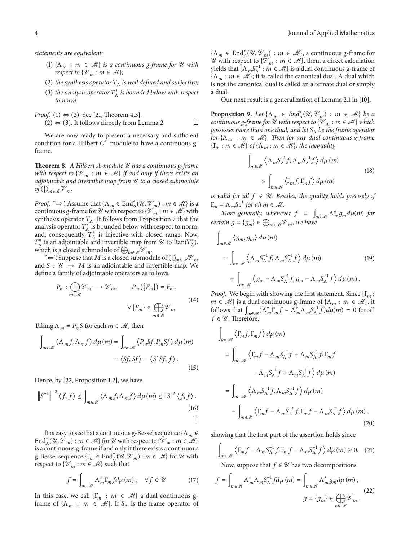- (1)  $\{\Lambda_m : m \in \mathcal{M}\}\)$  *is a continuous g-frame for*  $\mathcal U$  *with respect to*  $\{V_m : m \in \mathcal{M}\}\;$
- (2) *the synthesis operator*  $T_A$  *is well defined and surjective;*
- (3) the analysis operator  $T^*_{\Lambda}$  is bounded below with respect *to norm.*

*Proof.* (1)  $\Leftrightarrow$  (2). See [21, Theorem 4.3].

$$
(2) \Leftrightarrow (3)
$$
. It follows directly from Lemma 2.

We are now ready to present a necessary and sufficient condition for a Hilbert  $C^*$ -module to have a continuous gframe.

**Theorem 8.** *A Hilbert A-module U* has a continuous g-frame *with respect to*  $\{V_m : m \in \mathcal{M}\}\$ if and only if there exists an *adjointable and invertible map from* U *to a closed submodule*  $of \bigoplus_{m \in \mathcal{M}} \mathcal{V}_m$ .

*Proof.* " $\Rightarrow$ ". Assume that  $\{\Lambda_m \in \text{End}_{A}^*(\mathcal{U}, \mathcal{V}_m) : m \in \mathcal{M}\}\)$  is a continuous g-frame for  $\mathcal U$  with respect to  $\{\mathcal V_m : m \in \mathcal M\}$  with synthesis operator  $T_A$ . It follows from Proposition 7 that the analysis operator  $T^*_{\Lambda}$  is bounded below with respect to norm; and, consequently,  $T_{\Lambda}^*$  is injective with closed range. Now,  $T^*_{\Lambda}$  is an adjointable and invertible map from  $\mathcal U$  to  $\text{Ran}(T^*_{\Lambda})$ , which is a closed submodule of  $\bigoplus_{m\in \mathscr{M}}\mathscr{V}_m.$ 

" $\Leftarrow$ ". Suppose that  $M$  is a closed submodule of  $\bigoplus_{m\in\mathscr{M}}\mathscr{V}_m$ and  $S : \mathcal{U} \rightarrow M$  is an adjointable and invertible map. We define a family of adjointable operators as follows:

$$
P_m: \bigoplus_{m \in \mathcal{M}} \mathcal{V}_m \longrightarrow \mathcal{V}_m, \qquad P_m(\lbrace F_m \rbrace) = F_m,
$$
  

$$
\forall \lbrace F_m \rbrace \in \bigoplus_{m \in \mathcal{M}} \mathcal{V}_m.
$$
 (14)

Taking  $\Lambda_m = P_m S$  for each  $m \in \mathcal{M}$ , then

$$
\int_{m\in\mathcal{M}} \left\langle \Lambda_m f, \Lambda_m f \right\rangle d\mu(m) = \int_{m\in\mathcal{M}} \left\langle P_m S f, P_m S f \right\rangle d\mu(m)
$$

$$
= \left\langle S f, S f \right\rangle = \left\langle S^* S f, f \right\rangle. \tag{15}
$$

Hence, by [22, Proposition 1.2], we have

$$
\left\|S^{-1}\right\|^{-2}\left\langle f,f\right\rangle \leq \int_{m\in\mathcal{M}}\left\langle \Lambda_{m}f,\Lambda_{m}f\right\rangle d\mu(m) \leq \left\|S\right\|^{2}\left\langle f,f\right\rangle. \tag{16}
$$

It is easy to see that a continuous g-Bessel sequence { $\Lambda_m \in$ End $_A^*(\mathcal{U}, \dot{\mathcal{V}}_m)$ :  $m \in \mathcal{M}$ } for  $\mathcal U$  with respect to  $\{\dot{\mathcal{V}}_m : m \in \mathcal{M}\}$ is a continuous g-frame if and only if there exists a continuous g-Bessel sequence  $\{\Gamma_m \in \text{End}_{\mathcal{A}}^*(\mathcal{U}, \mathcal{V}_m) : m \in \mathcal{M}\}$  for  $\mathcal U$  with respect to  $\{\mathcal{V}_m : m \in \mathcal{M}\}\)$  such that

$$
f = \int_{m\in\mathcal{M}} \Lambda_m^* \Gamma_m f d\mu(m), \quad \forall f \in \mathcal{U}.
$$
 (17)

In this case, we call  $\{\Gamma_m : m \in \mathcal{M}\}\$ a dual continuous gframe of  $\{\Lambda_m : m \in \mathcal{M}\}\$ . If  $S_\Lambda$  is the frame operator of

 $\{\Lambda_m \in \text{End}_{A}^*(\mathcal{U}, \mathcal{V}_m) : m \in \mathcal{M}\}\$ , a continuous g-frame for *U* with respect to { $\mathcal{V}_m$  : *m* ∈ *M*}, then, a direct calculation yields that  $\{\Lambda_m S_\Lambda^{-1} : m \in \mathcal{M}\}$  is a dual continuous g-frame of  $\{\Lambda_m : m \in \mathcal{M}\}\;$ ; it is called the canonical dual. A dual which is not the canonical dual is called an alternate dual or simply a dual.

Our next result is a generalization of Lemma 2.1 in [10].

**Proposition 9.** Let  $\{\Lambda_m \in \text{End}_{A}^*(\mathcal{U}, \mathcal{V}_m) : m \in \mathcal{M}\}\)$  be a *continuous g-frame for*  $\mathcal U$  *with respect to*  $\{\mathcal V_m : m \in \mathcal M\}$  *which possesses more than one dual, and let* S<sub>Λ</sub> *be the frame operator for*  $\{\Lambda_m : m \in \mathcal{M}\}\$ . Then for any dual continuous g-frame  ${\{\Gamma_m : m \in \mathcal{M}\}\text{ of }\{\Lambda_m : m \in \mathcal{M}\}\text{, the inequality}}$ 

$$
\int_{m\in\mathcal{M}} \left\langle \Lambda_m S_{\Lambda}^{-1} f, \Lambda_m S_{\Lambda}^{-1} f \right\rangle d\mu(m)
$$
\n
$$
\leq \int_{m\in\mathcal{M}} \left\langle \Gamma_m f, \Gamma_m f \right\rangle d\mu(m) \tag{18}
$$

*is valid for all*  $f \in \mathcal{U}$ . Besides, the quality holds precisely if  $\Gamma_m = \Lambda_m S_{\Lambda}^{-1}$  for all  $m \in \mathcal{M}$ .

*More generally, whenever*  $f = \int_{m \in \mathcal{M}} \Lambda_m^* g_m d\mu(m)$  *for certain*  $g = \{g_m\} \in \bigoplus_{m \in \mathcal{M}} \mathcal{V}_m$ , we have

$$
\int_{m\in\mathcal{M}} \langle g_m, g_m \rangle d\mu(m)
$$
\n
$$
= \int_{m\in\mathcal{M}} \langle \Lambda_m S_{\Lambda}^{-1} f, \Lambda_m S_{\Lambda}^{-1} f \rangle d\mu(m)
$$
\n
$$
+ \int_{m\in\mathcal{M}} \langle g_m - \Lambda_m S_{\Lambda}^{-1} f, g_m - \Lambda_m S_{\Lambda}^{-1} f \rangle d\mu(m).
$$
\n(19)

*Proof.* We begin with showing the first statement. Since  $\{\Gamma_m:$  $m \in \mathcal{M}$ } is a dual continuous g-frame of  $\{\Lambda_m : m \in \mathcal{M}\}\)$ , it follows that  $\int_{m \in \mathcal{M}} (\Lambda_m^* \Gamma_m f - \Lambda_m^* \Lambda_m S_\Lambda^{-1} f) d\mu(m) = 0$  for all  $f \in \mathcal{U}$ . Therefore,

$$
\int_{m\in\mathcal{M}} \left\langle \Gamma_m f, \Gamma_m f \right\rangle d\mu(m)
$$
\n
$$
= \int_{m\in\mathcal{M}} \left\langle \Gamma_m f - \Lambda_m S_{\Lambda}^{-1} f + \Lambda_m S_{\Lambda}^{-1} f, \Gamma_m f \right\rangle
$$
\n
$$
- \Lambda_m S_{\Lambda}^{-1} f + \Lambda_m S_{\Lambda}^{-1} f \right\rangle d\mu(m)
$$
\n
$$
= \int_{m\in\mathcal{M}} \left\langle \Lambda_m S_{\Lambda}^{-1} f, \Lambda_m S_{\Lambda}^{-1} f \right\rangle d\mu(m)
$$
\n
$$
+ \int_{m\in\mathcal{M}} \left\langle \Gamma_m f - \Lambda_m S_{\Lambda}^{-1} f, \Gamma_m f - \Lambda_m S_{\Lambda}^{-1} f \right\rangle d\mu(m), \tag{20}
$$

showing that the first part of the assertion holds since

$$
\int_{m\in\mathcal{M}} \left\langle \Gamma_m f - \Lambda_m S_{\Lambda}^{-1} f, \Gamma_m f - \Lambda_m S_{\Lambda}^{-1} f \right\rangle d\mu(m) \ge 0. \quad (21)
$$

Now, suppose that  $f \in \mathcal{U}$  has two decompositions

$$
f = \int_{m \in \mathcal{M}} \Lambda_m^* \Lambda_m S_{\Lambda}^{-1} f d\mu(m) = \int_{m \in \mathcal{M}} \Lambda_m^* g_m d\mu(m),
$$
  

$$
g = \{g_m\} \in \bigoplus_{m \in \mathcal{M}} \mathcal{V}_m.
$$
 (22)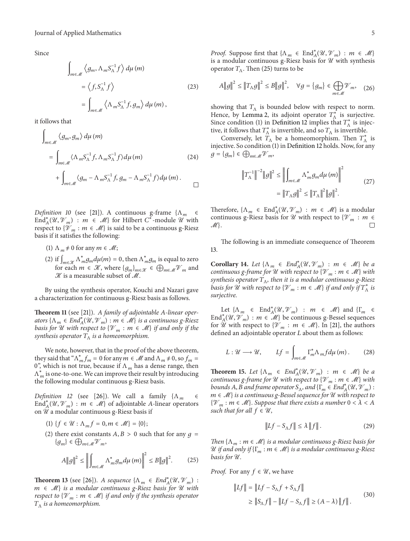Since

$$
\int_{m\in\mathcal{M}} \left\langle g_m, \Lambda_m S_{\Lambda}^{-1} f \right\rangle d\mu(m)
$$
  
=  $\left\langle f, S_{\Lambda}^{-1} f \right\rangle$  (23)  
= 
$$
\int_{m\in\mathcal{M}} \left\langle \Lambda_m S_{\Lambda}^{-1} f, g_m \right\rangle d\mu(m),
$$

it follows that

$$
\int_{m\in\mathcal{M}} \langle g_m, g_m \rangle d\mu(m)
$$
\n
$$
= \int_{m\in\mathcal{M}} \langle \Lambda_m S_{\Lambda}^{-1} f, \Lambda_m S_{\Lambda}^{-1} f \rangle d\mu(m)
$$
\n
$$
+ \int_{m\in\mathcal{M}} \langle g_m - \Lambda_m S_{\Lambda}^{-1} f, g_m - \Lambda_m S_{\Lambda}^{-1} f \rangle d\mu(m).
$$
\n
$$
\Box
$$

*Definition 10* (see [21]). A continuous g-frame  $\{\Lambda_m \in \mathbb{R}^m\}$ End $_A^*(\mathcal{U}, \mathcal{V}_m)$ :  $m \in \mathcal{M}$  for Hilbert  $C^*$ -module  $\mathcal{U}$  with respect to  $\{W_m : m \in \mathcal{M}\}\$ is said to be a continuous g-Riesz basis if it satisfies the following:

- (1)  $\Lambda_m \neq 0$  for any  $m \in \mathcal{M}$ ;
- (2) if  $\int_{m \in \mathcal{K}} \Lambda^*_{m} g_m d\mu(m) = 0$ , then  $\Lambda^*_{m} g_m$  is equal to zero for each  $m \in \mathcal{K}$ , where  $\{g_m\}_{m \in \mathcal{K}} \in \bigoplus_{m \in \mathcal{M}} \mathcal{V}_m$  and  $\mathcal X$  is a measurable subset of  $\mathcal M$ .

By using the synthesis operator, Kouchi and Nazari gave a characterization for continuous g-Riesz basis as follows.

Theorem 11 (see [21]). *A family of adjointable A-linear oper* $ators \{ \Lambda_m \in End_A^*(\mathcal{U}, \mathcal{V}_m) : m \in \mathcal{M} \}$  *is a continuous g-Riesz basis for*  $\mathcal{U}$  *with respect to*  $\{\mathcal{V}_m : m \in \mathcal{M}\}\$  *if and only if the synthesis operator*  $T_A$  *is a homeomorphism.* 

We note, however, that in the proof of the above theorem, they said that " $\Lambda_m^* f_m = 0$  for any  $m \in \mathcal{M}$  and  $\Lambda_m \neq 0$ , so  $f_m =$ 0", which is not true, because if  $\Lambda_m$  has a dense range, then  $\Lambda_m^*$  is one-to-one. We can improve their result by introducing the following modular continuous g-Riesz basis.

*Definition 12* (see [26]). We call a family  $\{\Lambda_m\}$   $\in$ End $_A^*(\mathcal{U}, \mathcal{V}_m)$ :  $m \in \mathcal{M}$  of adjointable A-linear operators on  $\mathcal U$  a modular continuous g-Riesz basis if

- (1) { $f \in \mathcal{U} : \Lambda_m f = 0, m \in \mathcal{M}$ } = {0};
- (2) there exist constants  $A, B > 0$  such that for any  $q =$  ${g_m} \in \bigoplus_{m \in \mathcal{M}} \mathcal{V}_m$

$$
A||g||^{2} \le \left\| \int_{m\in\mathcal{M}} \Lambda_{m}^{*} g_{m} d\mu(m) \right\|^{2} \le B||g||^{2}.
$$
 (25)

**Theorem 13** (see [26]). *A sequence*  $\{\Lambda_m \in \text{End}_{\mathcal{A}}^*(\mathcal{U}, \mathcal{V}_m)$ : ∈ M} *is a modular continuous g-Riesz basis for* U *with respect to*  $\{\mathcal{V}_m : m \in \mathcal{M}\}\$  *if and only if the synthesis operator*  $T_{\Lambda}$  *is a homeomorphism.* 

*Proof.* Suppose first that  $\{\Lambda_m \in \text{End}_{\mathcal{A}}^*(\mathcal{U}, \mathcal{V}_m) : m \in \mathcal{M}\}\$ is a modular continuous g-Riesz basis for  $U$  with synthesis operator  $T_A$ . Then (25) turns to be

$$
A||g||^2 \le ||T_{\Lambda}g||^2 \le B||g||^2, \quad \forall g = \{g_m\} \in \bigoplus_{m \in \mathcal{M}} \mathcal{V}_m, \quad (26)
$$

showing that  $T_A$  is bounded below with respect to norm. Hence, by Lemma 2, its adjoint operator  $T_{\Lambda}^*$  is surjective. Since condition (1) in Definition 12 implies that  $T^*_{\Lambda}$  is injective, it follows that  $T^*_{\Lambda}$  is invertible, and so  $T_{\Lambda}$  is invertible.

Conversely, let  $T_A$  be a homeomorphism. Then  $T_A^*$  is injective. So condition (1) in Definition 12 holds. Now, for any  $g = \{g_m\} \in \bigoplus_{m \in \mathcal{M}} \mathcal{V}_m,$ 

$$
\|T_{\Lambda}^{-1}\|^{-2} \|g\|^{2} \le \left\| \int_{m\in\mathcal{M}} \Lambda_{m}^{*} g_{m} d\mu(m) \right\|^{2}
$$
  
=  $\left\| T_{\Lambda} g \right\|^{2} \le \left\| T_{\Lambda} \right\|^{2} \|g\|^{2}.$  (27)

Therefore,  $\{\Lambda_m \in \text{End}_{\mathcal{A}}^*(\mathcal{U}, \mathcal{V}_m) : m \in \mathcal{M}\}\$ is a modular continuous g-Riesz basis for U with respect to  $\{V_m : m \in \mathbb{R}\}$  $\mathscr{M}$ .

The following is an immediate consequence of Theorem 13.

**Corollary 14.** *Let*  $\{\Lambda_m \in \text{End}_{A}^*(\mathcal{U}, \mathcal{V}_m) : m \in \mathcal{M}\}\)$  *be a continuous g-frame for*  $U$  *with respect to*  $\{V_m : m \in M\}$  *with synthesis operator*  $T_A$ *, then it is a modular continuous g-Riesz basis for*  $\hat{U}$  *with respect to*  $\{V_m : m \in M\}$  *if and only if*  $T^*_{\Lambda}$  *is surjective.*

Let  $\{\Lambda_m \in \text{End}_{\mathcal{A}}^*(\mathcal{U}, \mathcal{V}_m) : m \in \mathcal{M}\}\$  and  $\{\Gamma_m \in \mathcal{U}\}\$ End $_A^*(\mathcal{U}, \mathcal{V}_m)$ :  $m \in \mathcal{M}$  be continuous g-Bessel sequences for U with respect to  $\{V_m : m \in \mathcal{M}\}\$ . In [21], the authors defined an adjointable operator  $L$  about them as follows:

$$
L: \mathcal{U} \longrightarrow \mathcal{U}, \qquad Lf = \int_{m \in \mathcal{M}} \Gamma_m^* \Lambda_m f d\mu(m). \tag{28}
$$

**Theorem 15.** Let  $\{\Lambda_m \in \text{End}_{A}^*(\mathcal{U}, \mathcal{V}_m) : m \in \mathcal{M}\}\)$  be a *continuous g-frame for*  $U$  *with respect to*  $\{V_m : m \in M\}$  *with bounds* A, *B* and frame operator  $S_{\Lambda}$ , and  $\{\Gamma_m \in End^*_{A}(U, \mathcal{V}_m)$ : ∈ M} *is a continuous g-Bessel sequence for* U *with respect to* { $\mathcal{V}_m$  :  $m \in \mathcal{M}$ }. Suppose that there exists a number 0 <  $\lambda$  < A *such that for all*  $f \in \mathcal{U}$ ,

$$
||Lf - S_{\Lambda}f|| \le \lambda ||f||. \tag{29}
$$

*Then*  $\{\Lambda_m : m \in \mathcal{M}\}\$ is a modular continuous g-Riesz basis for  $\mathcal U$  *if and only if*  $\{\Gamma_m : m \in \mathcal M\}$  *is a modular continuous g-Riesz basis for*  $U$ .

*Proof.* For any  $f \in \mathcal{U}$ , we have

$$
||Lf|| = ||Lf - S_{\Lambda}f + S_{\Lambda}f||
$$
  
\n
$$
\ge ||S_{\Lambda}f|| - ||Lf - S_{\Lambda}f|| \ge (A - \lambda) ||f||.
$$
 (30)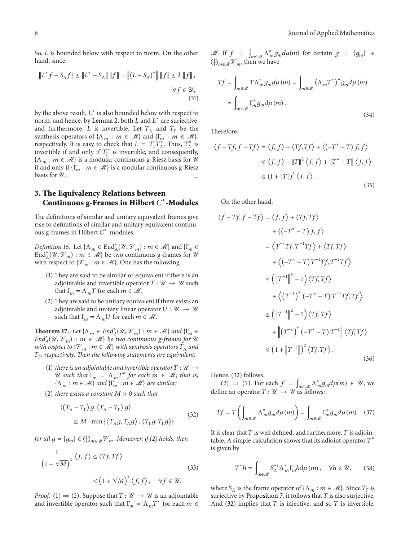So,  $L$  is bounded below with respect to norm. On the other hand, since

$$
||L^* f - S_{\Lambda} f|| \le ||L^* - S_{\Lambda}|| ||f|| = ||(L - S_{\Lambda})^*|| ||f|| \le \lambda ||f||,
$$
  

$$
\forall f \in \mathcal{U},
$$
  
(31)

by the above result,  $L^*$  is also bounded below with respect to norm, and hence, by Lemma 2, both  $L$  and  $L^*$  are surjective, and furthermore, L is invertible. Let  $T_A$  and  $T_F$  be the synthesis operators of  $\{\Lambda_m : m \in \mathcal{M}\}\$  and  $\{\Gamma_m : m \in \mathcal{M}\}\$ , respectively. It is easy to check that  $L = T_{\Gamma} T_{\Lambda}^{*}$ . Thus,  $T_{\Lambda}^{*}$  is invertible if and only if  $T_{\Gamma}^*$  is invertible, and consequently,  $\{\Lambda_m : m \in \mathcal{M}\}\$ is a modular continuous g-Riesz basis for  $\mathcal{U}$ if and only if  $\{\Gamma_m : m \in \mathcal{M}\}\$  is a modular continuous g-Riesz basis for  $\mathcal{U}$ . basis for  $\mathcal{U}$ .

#### **3. The Equivalency Relations between Continuous g-Frames in Hilbert** <sup>∗</sup>**-Modules**

The definitions of similar and unitary equivalent frames give rise to definitions of similar and unitary equivalent continuous g-frames in Hilbert C<sup>\*</sup>-modules.

*Definition 16.* Let  $\{\Lambda_m \in \text{End}_{A}^*(\mathcal{U}, \mathcal{V}_m) : m \in \mathcal{M}\}\)$  and  $\{\Gamma_m \in \mathcal{U}\}$ End $_A^*(\mathcal{U}, \mathcal{V}_m)$ :  $m \in \mathcal{M}$  be two continuous g-frames for  $\mathcal{U}$ with respect to  $\{\mathcal{V}_m : m \in \mathcal{M}\}\)$ . One has the following.

- (1) They are said to be similar or equivalent if there is an adjointable and invertible operator  $T : \mathcal{U} \to \mathcal{U}$  such that  $\Gamma_m = \Lambda_m T$  for each  $m \in \mathcal{M}$ .
- (2) They are said to be unitary equivalent if there exists an adjointable and unitary linear operator  $U : \mathcal{U} \rightarrow \mathcal{U}$ such that  $\Gamma_m = \Lambda_m U$  for each  $m \in \mathcal{M}$ .

**Theorem 17.** *Let*  $\{\Lambda_m \in End_A^*(\mathcal{U}, \mathcal{V}_m) : m \in \mathcal{M}\}\$  *and*  $\{\Gamma_m \in \mathcal{V}_m\}$  $End^*_{A}(\mathcal{U}, \mathcal{V}_m)$ :  $m \in \mathcal{M}$  *be two continuous g-frames for*  $\mathcal{U}$ *with respect to*  $\{\mathcal{V}_m : m \in \mathcal{M}\}\$  *with synthesis operators*  $T_\Lambda$  *and* Γ*, respectively. Then the following statements are equivalent:*

- (1) *there is an adjointable and invertible operator*  $T : \mathcal{U} \rightarrow$ U such that  $\Gamma_m = \Lambda_m T^*$  for each  $m \in \mathcal{M}$ ; that is,  $\{\Lambda_m : m \in \mathcal{M}\}\$ and  $\{\Gamma_m : m \in \mathcal{M}\}\$ are similar;
- $(2)$  *there exists a constant*  $M > 0$  *such that*

$$
\langle (T_{\Lambda} - T_{\Gamma}) g, (T_{\Lambda} - T_{\Gamma}) g \rangle
$$
  
 
$$
\leq M \cdot \min \{ \langle T_{\Lambda} g, T_{\Lambda} g \rangle, \langle T_{\Gamma} g, T_{\Gamma} g \rangle \}
$$
 (32)

*for all*  $g = \{g_m\} \in \bigoplus_{m \in \mathcal{M}} \mathcal{V}_m$ *. Moreover, if (2) holds, then* 

$$
\frac{1}{\left(1+\sqrt{M}\right)^2} \langle f, f \rangle \le \langle Tf, Tf \rangle
$$
\n
$$
\le \left(1+\sqrt{M}\right)^2 \langle f, f \rangle, \quad \forall f \in \mathcal{U}.
$$
\n(33)

*Proof.* (1)  $\Rightarrow$  (2). Suppose that  $T : \mathcal{U} \rightarrow \mathcal{U}$  is an adjointable and invertible operator such that  $\Gamma_m = \Lambda_m T^*$  for each  $m \in$ 

M. If  $f = \int_{m \in \mathcal{M}} \Lambda_m^* g_m d\mu(m)$  for certain  $g = \{g_m\} \in$  $\bigoplus_{m\in\mathcal{M}}\mathcal{V}_m$ , then we have

$$
Tf = \int_{m\in\mathcal{M}} T\Lambda_m^* g_m d\mu(m) = \int_{m\in\mathcal{M}} \left(\Lambda_m T^*\right)^* g_m d\mu(m)
$$

$$
= \int_{m\in\mathcal{M}} \Gamma_m^* g_m d\mu(m).
$$
(34)

Therefore,

$$
\langle f - Tf, f - Tf \rangle = \langle f, f \rangle + \langle Tf, Tf \rangle + \langle (-T^* - T) f, f \rangle
$$
  

$$
\leq \langle f, f \rangle + ||T||^2 \langle f, f \rangle + ||T^* + T|| \langle f, f \rangle
$$
  

$$
\leq (1 + ||T||)^2 \langle f, f \rangle.
$$
 (35)

On the other hand,

$$
\langle f - Tf, f - Tf \rangle = \langle f, f \rangle + \langle Tf, Tf \rangle
$$
  
+ 
$$
\langle (-T^* - T) f, f \rangle
$$
  
= 
$$
\langle T^{-1}Tf, T^{-1}Tf \rangle + \langle Tf, Tf \rangle
$$
  
+ 
$$
\langle (-T^* - T) T^{-1}Tf, T^{-1}Tf \rangle
$$
  

$$
\leq (\|T^{-1}\|^2 + 1) \langle Tf, Tf \rangle
$$
  
+ 
$$
\langle (T^{-1})^* (-T^* - T) T^{-1}Tf, Tf \rangle
$$
  

$$
\leq (\|T^{-1}\|^2 + 1) \langle Tf, Tf \rangle
$$
  
+ 
$$
\|(T^{-1})^* (-T^* - T) T^{-1}\| \langle Tf, Tf \rangle
$$
  

$$
\leq (1 + \|T^{-1}\|)^2 \langle Tf, Tf \rangle.
$$
 (36)

Hence, (32) follows.

(2) ⇒ (1). For each  $f = \int_{m \in \mathcal{M}} \Lambda_m^* g_m d\mu(m) \in \mathcal{U}$ , we define an operator  $T: \mathcal{U} \to \mathcal{U}$  as follows:

$$
Tf = T\left(\int_{m\in\mathcal{M}} \Lambda_m^* g_m d\mu(m)\right) = \int_{m\in\mathcal{M}} \Gamma_m^* g_m d\mu(m). \tag{37}
$$

It is clear that  $T$  is well defined, and furthermore,  $T$  is adjointable. A simple calculation shows that its adjoint operator  $T^*$ is given by

$$
T^*h = \int_{m \in \mathcal{M}} S_{\Lambda}^{-1} \Lambda_m^* \Gamma_m h d\mu(m), \quad \forall h \in \mathcal{U}, \qquad (38)
$$

where  $S_\Lambda$  is the frame operator of  $\{\Lambda_m : m \in \mathcal{M}\}\)$ . Since  $T_\Gamma$  is surjective by Proposition 7, it follows that  $T$  is also surjective. And (32) implies that  $T$  is injective, and so  $T$  is invertible.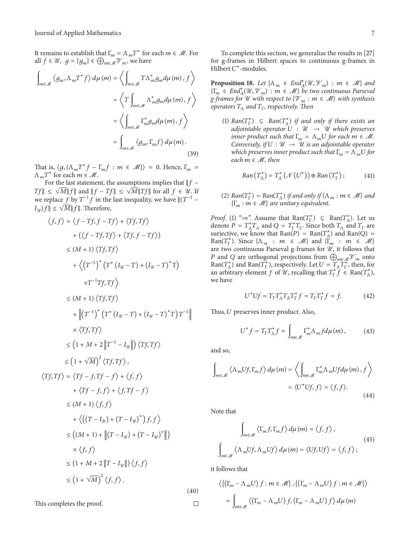It remains to establish that  $\Gamma_m = \Lambda_m T^*$  for each  $m \in \mathcal{M}$ . For all  $f \in \mathcal{U}$ ,  $g = \{g_m\} \in \bigoplus_{m \in \mathcal{M}} \mathcal{V}_m$ , we have

$$
\int_{m\in\mathcal{M}} \langle g_m, \Lambda_m T^* f \rangle d\mu(m) = \left\langle \int_{m\in\mathcal{M}} T\Lambda_m^* g_m d\mu(m), f \right\rangle
$$

$$
= \left\langle T \int_{m\in\mathcal{M}} \Lambda_m^* g_m d\mu(m), f \right\rangle
$$

$$
= \left\langle \int_{m\in\mathcal{M}} \Gamma_m^* g_m d\mu(m), f \right\rangle
$$

$$
= \int_{m\in\mathcal{M}} \left\langle g_m, \Gamma_m f \right\rangle d\mu(m).
$$
(39)

That is,  $\langle g, {\{\Lambda_mT^*f - \Gamma_mf : m \in \mathcal{M}\}\rangle} = 0$ . Hence,  $\Gamma_m =$  $\Lambda_m T^*$  for each  $m \in \mathcal{M}$ .

For the last statement, the assumptions implies that  $\|f Tf$ ∥ ≤  $\sqrt{M}$ || $f$ || and  $||f - Tf||$  ≤  $\sqrt{M}$ || $Tf$ || for all  $f \in \mathcal{U}$ . If we replace f by  $T^{-1}$  f in the last inequality, we have  $\|(T^{-1} |I_{\mathcal{Y}}|f \leq \sqrt{M} ||f||.$  Therefore,

$$
\langle f, f \rangle = \langle f - Tf, f - Tf \rangle + \langle Tf, Tf \rangle
$$
  
+  $(\langle f - Tf, Tf \rangle + \langle Tf, f - Tf \rangle)$   
 $\leq (M + 1) \langle Tf, Tf \rangle$   
+  $\langle (T^{-1})^* (T^* (I_{\mathcal{U}} - T) + (I_{\mathcal{U}} - T)^* T) \rangle$   
 $\times T^{-1} Tf, Tf \rangle$   
 $\leq (M + 1) \langle Tf, Tf \rangle$   
+  $\|(T^{-1})^* (T^* (I_{\mathcal{U}} - T) + (I_{\mathcal{U}} - T)^* T) T^{-1}\|$   
 $\times \langle Tf, Tf \rangle$   
 $\leq (1 + M + 2 \|T^{-1} - I_{\mathcal{U}}\|) \langle Tf, Tf \rangle$   
 $\leq (1 + \sqrt{M})^2 \langle Tf, Tf \rangle$ ,  
 $\langle Tf, Tf \rangle = \langle Tf - f, Tf - f \rangle + \langle f, f \rangle$   
+  $\langle Tf - f, f \rangle + \langle f, Tf - f \rangle$   
 $\leq (M + 1) \langle f, f \rangle$   
+  $\langle ((T - I_{\mathcal{U}}) + (T - I_{\mathcal{U}})^* ) f, f \rangle$   
 $\leq ((M + 1) + \| (T - I_{\mathcal{U}}) + (T - I_{\mathcal{U}})^* \|)$   
 $\times \langle f, f \rangle$   
 $\leq (1 + M + 2 \| T - I_{\mathcal{U}} \|) \langle f, f \rangle$   
(40)

This completes the proof.

To complete this section, we generalize the results in [27] for g-frames in Hilbert spaces to continuous g-frames in Hilbert  $C^*$ -modules.

**Proposition 18.** *Let*  $\{\Lambda_m \in \text{End}_{A}^*(\mathcal{U}, \mathcal{V}_m) : m \in \mathcal{M}\}\$ and  ${\{\Gamma_m \in End^*_A(\mathcal{U}, \mathcal{V}_m) : m \in \mathcal{M}\}}$  *be two continuous Parseval g*-frames for U with respect to  $\{V_m : m \in M\}$  with synthesis *operators*  $T_\Lambda$  *and*  $T_\Gamma$ *, respectively. Then* 

(1)  $Ran(T_{\Gamma}^*)$   $\subseteq$   $Ran(T_{\Lambda}^*)$  *if and only if there exists an adjointable operator*  $U: \mathcal{U} \rightarrow \mathcal{U}$  which preserves *inner product such that*  $\Gamma_m = \Lambda_m U$  for each  $m \in \mathcal{M}$ . *Conversely, if*  $U : \mathcal{U} \rightarrow \mathcal{U}$  *is an adjointable operator which preserves inner product such that*  $\Gamma_m = \Lambda_m U$  for *each*  $m \in M$ *, then* 

$$
Ran(T_{\Lambda}^*) = T_{\Lambda}^* \left( \mathcal{N} \left( U^* \right) \right) \oplus Ran(T_{\Gamma}^*) ; \tag{41}
$$

(2)  $Ran(T_{\Gamma}^*) = Ran(T_{\Lambda}^*)$  *if and only if*  $\{\Lambda_m : m \in \mathcal{M}\}\$ and  ${\{\Gamma_m : m \in \mathcal{M}\}}$  are unitary equivalent.

*Proof.* (1) " $\Rightarrow$ ". Assume that Ran( $T_{\Gamma}^{*}$ )  $\subseteq$  Ran( $T_{\Lambda}^{*}$ ). Let us denote  $P = T_{\Lambda}^* T_{\Lambda}$  and  $Q = T_{\Gamma}^* T_{\Gamma}$ . Since both  $T_{\Lambda}$  and  $T_{\Gamma}$  are surjective, we know that  $\text{Ran}(P) = \text{Ran}(T_A^*)$  and  $\text{Ran}(Q) =$ Ran( $T_{\Gamma}^*$ ). Since  $\{\Lambda_m : m \in \mathcal{M}\}\$  and  $\{\Gamma_m : m \in \mathcal{M}\}\$ are two continuous Parseval g-frames for  $\mathcal{U}$ , it follows that P and Q are orthogonal projections from  $\bigoplus_{m\in\mathcal{M}}\mathcal{V}_m$  onto Ran( $T_{\Lambda}^{*}$ ) and Ran( $T_{\Gamma}^{*}$ ), respectively. Let  $U = T_{\Lambda} T_{\Gamma}^{*}$ , then, for an arbitrary element f of  $\mathcal{U}$ , recalling that  $T_{\Gamma}^* \hat{f} \in \text{Ran}(T_{\Lambda}^*)$ , we have

$$
U^* U f = T_{\Gamma} T_{\Lambda}^* T_{\Lambda} T_{\Gamma}^* f = T_{\Gamma} T_{\Gamma}^* f = f.
$$
 (42)

Thus,  $U$  preserves inner product. Also,

$$
U^* f = T_{\Gamma} T_{\Lambda}^* f = \int_{m \in \mathcal{M}} \Gamma_m^* \Lambda_m f d\mu(m), \qquad (43)
$$

and so,

$$
\int_{m\in\mathcal{M}} \left\langle \Lambda_m U f, \Gamma_m f \right\rangle d\mu(m) = \left\langle \int_{m\in\mathcal{M}} \Gamma_m^* \Lambda_m U f d\mu(m), f \right\rangle
$$

$$
= \left\langle U^* U f, f \right\rangle = \left\langle f, f \right\rangle. \tag{44}
$$

Note that

$$
\int_{m\in\mathcal{M}} \left\langle \Gamma_m f, \Gamma_m f \right\rangle d\mu(m) = \left\langle f, f \right\rangle,
$$
\n
$$
\int_{m\in\mathcal{M}} \left\langle \Lambda_m Uf, \Lambda_m Uf \right\rangle d\mu(m) = \left\langle Uf, Uf \right\rangle = \left\langle f, f \right\rangle;
$$
\n(45)

it follows that

 $\Box$ 

$$
\langle \{ (\Gamma_m - \Lambda_m U) f : m \in \mathcal{M} \}, \{ (\Gamma_m - \Lambda_m U) f : m \in \mathcal{M} \} \rangle
$$
  
= 
$$
\int_{m \in \mathcal{M}} \langle (\Gamma_m - \Lambda_m U) f, (\Gamma_m - \Lambda_m U) f \rangle d\mu(m)
$$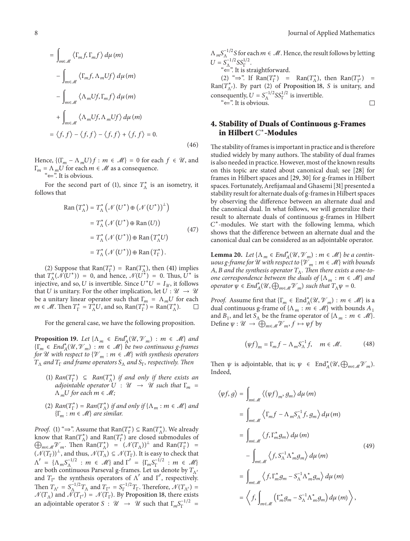$$
= \int_{m \in \mathcal{M}} \langle \Gamma_m f, \Gamma_m f \rangle d\mu(m)
$$
  

$$
- \int_{m \in \mathcal{M}} \langle \Gamma_m f, \Lambda_m U f \rangle d\mu(m)
$$
  

$$
- \int_{m \in \mathcal{M}} \langle \Lambda_m U f, \Gamma_m f \rangle d\mu(m)
$$
  

$$
+ \int_{m \in \mathcal{M}} \langle \Lambda_m U f, \Lambda_m U f \rangle d\mu(m)
$$
  

$$
= \langle f, f \rangle - \langle f, f \rangle - \langle f, f \rangle + \langle f, f \rangle = 0.
$$
 (46)

Hence,  $\{(\Gamma_m - \Lambda_m U)f : m \in \mathcal{M}\}=0$  for each  $f \in \mathcal{U}$ , and  $\Gamma_m = \Lambda_m U$  for each  $m \in \mathcal{M}$  as a consequence.

"⇐". It is obvious.

For the second part of (1), since  $T_{\Lambda}^*$  is an isometry, it follows that

$$
Ran (T_{\Lambda}^*) = T_{\Lambda}^* (\mathcal{N} (U^*) \oplus (\mathcal{N} (U^*))^{\perp})
$$
  

$$
= T_{\Lambda}^* (\mathcal{N} (U^*) \oplus Ran (U))
$$
  

$$
= T_{\Lambda}^* (\mathcal{N} (U^*)) \oplus Ran (T_{\Lambda}^* U)
$$
  

$$
= T_{\Lambda}^* (\mathcal{N} (U^*)) \oplus Ran (T_{\Gamma}^*).
$$
 (47)

(2) Suppose that Ran( $T_{\Gamma}^{*}$ ) = Ran( $T_{\Lambda}^{*}$ ), then (41) implies that  $T_{\Lambda}^*(\tilde{\mathcal{N}}(U^*)) = 0$ , and hence,  $\mathcal{N}(U^*) = 0$ . Thus,  $U^*$  is injective, and so, U is invertible. Since  $U^*U = I_{\mathcal{U}}$ , it follows that U is unitary. For the other implication, let  $U : \mathcal{U} \to \mathcal{U}$ be a unitary linear operator such that  $\Gamma_m = \Lambda_m U$  for each  $m \in \mathcal{M}$ . Then  $T_{\Gamma}^* = T_{\Lambda}^* U$ , and so,  $\text{Ran}(T_{\Gamma}^*) = \text{Ran}(T_{\Lambda}^*)$ .

For the general case, we have the following proposition.

**Proposition 19.** *Let*  $\{\Lambda_m \in \text{End}_{A}^*(\mathcal{U}, \mathcal{V}_m) : m \in \mathcal{M}\}\$ and  ${\{\Gamma_m \in End^*_A(\mathcal{U}, \mathcal{V}_m) : m \in \mathcal{M}\}}$  *be two continuous g-frames for*  $U$  *with respect to*  $\{V_m : m \in M\}$  *with synthesis operators* <sup>Λ</sup> *and* <sup>Γ</sup> *and frame operators* <sup>Λ</sup> *and* Γ*, respectively. Then*

- (1)  $Ran(T_{\Gamma}^*) \subseteq Ran(T_{\Lambda}^*)$  *if and only if there exists an adjointable operator*  $\overline{U}$  :  $\mathcal{U} \rightarrow \mathcal{U}$  *such that*  $\Gamma_m$  =  $\Lambda_m U$  for each  $m \in \mathcal{M}$ ;
- (2)  $Ran(T_{\Gamma}^*) = Ran(T_{\Lambda}^*)$  *if and only if*  $\{\Lambda_m : m \in \mathcal{M}\}\$ and  ${\{\Gamma_m : m \in \mathcal{M}\}}$  are similar.

*Proof.* (1) " $\Rightarrow$ ". Assume that Ran( $T_{\Gamma}^*$ )  $\subseteq$  Ran( $T_{\Lambda}^*$ ). We already know that  $\text{Ran}(T_{\Lambda}^*)$  and  $\text{Ran}(T_{\Gamma}^*)$  are closed submodules of  $\bigoplus_{m\in\mathcal{M}}\mathcal{V}_m$ . Then  $\text{Ran}(T_\Lambda^*)$  =  $(\mathcal{N}(T_\Lambda))^{\perp}$  and  $\text{Ran}(T_\Gamma^*)$  =  $(\mathcal{N}(T_{\Gamma}))^{\perp}$ , and thus,  $\mathcal{N}(T_{\Lambda}) \subseteq \mathcal{N}(T_{\Gamma})$ . It is easy to check that  $\Lambda' = {\Lambda_m S_\Lambda^{-1/2}} : m \in \mathcal{M}$  and  $\Gamma' = {\Gamma_m S_\Gamma^{-1/2}} : m \in \mathcal{M}$ are both continuous Parseval g-frames. Let us denote by  $T_{\Lambda'}$ and  $T_{\Gamma'}$  the synthesis operators of  $\Lambda'$  and  $\Gamma'$ , respectively. Then  $T_{\Lambda'} = S_{\Lambda}^{-1/2} T_{\Lambda}$  and  $T_{\Gamma'} = S_{\Gamma}^{-1/2} T_{\Gamma}$ . Therefore,  $\mathcal{N}(T_{\Lambda'}) =$  $\mathcal{N}(T_{\Lambda})$  and  $\mathcal{N}(T_{\Gamma'}) = \mathcal{N}(T_{\Gamma})$ . By Proposition 18, there exists an adjointable operator  $S: \mathcal{U} \rightarrow \mathcal{U}$  such that  $\Gamma_m S_{\Gamma}^{-1/2} =$   $\Lambda_m S_\Lambda^{-1/2}$ S for each  $m \in \mathcal{M}$ . Hence, the result follows by letting  $U = S_{\Lambda}^{-1/2} S S_{\Gamma}^{1/2}.$ 

"⇐". It is straightforward.

(2) "⇒". If Ran( $T_{\Gamma}^*$ ) = Ran( $T_{\Lambda}^*$ ), then Ran( $T_{\Gamma'}^*$ ) = Ran( $T_{\Lambda'}^*$ ). By part (2) of Proposition 18, *S* is unitary, and consequently,  $U = S_{\Lambda}^{-1/2} S_{\Gamma}^{1/2}$  is invertible. "⇐". It is obvious.  $\Box$ 

#### **4. Stability of Duals of Continuous g-Frames in Hilbert**  $C^*$ -Modules

The stability of frames is important in practice and is therefore studied widely by many authors. The stability of dual frames is also needed in practice. However, most of the known results on this topic are stated about canonical dual; see [28] for frames in Hilbert spaces and [29, 30] for g-frames in Hilbert spaces. Fortunately, Arefijamaal and Ghasemi [31] presented a stability result for alternate duals of g-frames in Hilbert spaces by observing the difference between an alternate dual and the canonical dual. In what follows, we will generalize their result to alternate duals of continuous g-frames in Hilbert  $C^*$ -modules. We start with the following lemma, which shows that the difference between an alternate dual and the canonical dual can be considered as an adjointable operator.

**Lemma 20.** *Let*  $\{\Lambda_m \in End_A^*(\mathcal{U}, \mathcal{V}_m) : m \in \mathcal{M}\}$  *be a continuous g-frame for*  $\mathcal U$  *with respect to*  $\{\mathcal V_m : m \in \mathcal M\}$  *with bounds*  $A, B$  and the synthesis operator  $T_A$ . Then there exists a one-to*one correspondence between the duals of*  $\{\Lambda_m : m \in \mathcal{M}\}\$ and *operator*  $\psi \in End_A^*(\mathcal{U}, \bigoplus_{m \in \mathcal{M}} \mathcal{V}_m)$  *such that*  $T_A \psi = 0$ *.* 

*Proof.* Assume first that  $\{\Gamma_m \in \text{End}_{A}^*(\mathcal{U}, \mathcal{V}_m) : m \in \mathcal{M}\}\)$  is a dual continuous g-frame of  $\{\Lambda_m : m \in \mathcal{M}\}\)$  with bounds  $A_1$ and  $B_1$ , and let  $S_\Lambda$  be the frame operator of  $\{\Lambda_m : m \in \mathcal{M}\}.$ Define  $\psi : \mathcal{U} \to \bigoplus_{m \in \mathcal{M}} \mathcal{V}_m$ ,  $f \mapsto \psi f$  by

$$
\left(\psi f\right)_m = \Gamma_m f - \Lambda_m S_\Lambda^{-1} f, \quad m \in \mathcal{M}.
$$
 (48)

Then  $\psi$  is adjointable, that is;  $\psi \in \text{End}_{A}^{\ast}(\mathcal{U}, \bigoplus_{m \in \mathcal{M}} \mathcal{V}_{m})$ . Indeed,

$$
\langle \psi f, g \rangle = \int_{m \in \mathcal{M}} \langle (\psi f)_{m}, g_{m} \rangle d\mu(m)
$$
  
\n
$$
= \int_{m \in \mathcal{M}} \langle \Gamma_{m} f - \Lambda_{m} S_{\Lambda}^{-1} f, g_{m} \rangle d\mu(m)
$$
  
\n
$$
= \int_{m \in \mathcal{M}} \langle f, \Gamma_{m}^{*} g_{m} \rangle d\mu(m)
$$
  
\n
$$
- \int_{m \in \mathcal{M}} \langle f, S_{\Lambda}^{-1} \Lambda_{m}^{*} g_{m} \rangle d\mu(m)
$$
  
\n
$$
= \int_{m \in \mathcal{M}} \langle f, \Gamma_{m}^{*} g_{m} - S_{\Lambda}^{-1} \Lambda_{m}^{*} g_{m} \rangle d\mu(m)
$$
  
\n
$$
= \langle f, \int_{m \in \mathcal{M}} \langle \Gamma_{m}^{*} g_{m} - S_{\Lambda}^{-1} \Lambda_{m}^{*} g_{m} \rangle d\mu(m) \rangle,
$$
  
\n(49)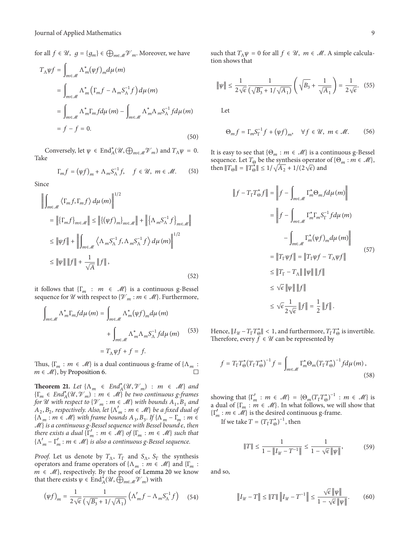for all  $f \in \mathcal{U}$ ,  $g = \{g_m\} \in \bigoplus_{m \in \mathcal{M}} \mathcal{V}_m$ . Moreover, we have

$$
T_{\Lambda}\psi f = \int_{m\in\mathcal{M}} \Lambda^*_{m}(\psi f)_{m} d\mu(m)
$$
  
\n
$$
= \int_{m\in\mathcal{M}} \Lambda^*_{m} \left(\Gamma_m f - \Lambda_m S_{\Lambda}^{-1} f\right) d\mu(m)
$$
  
\n
$$
= \int_{m\in\mathcal{M}} \Lambda^*_{m} \Gamma_m f d\mu(m) - \int_{m\in\mathcal{M}} \Lambda^*_{m} \Lambda_m S_{\Lambda}^{-1} f d\mu(m)
$$
  
\n
$$
= f - f = 0.
$$
 (50)

Conversely, let  $\psi \in \text{End}_{A}^{*}(\mathcal{U}, \bigoplus_{m \in \mathcal{M}} \mathcal{V}_{m})$  and  $T_{\Lambda}\psi = 0$ . Take

$$
\Gamma_m f = (\psi f)_m + \Lambda_m S_\Lambda^{-1} f, \quad f \in \mathcal{U}, \ m \in \mathcal{M}.
$$
 (51)

Since

$$
\left\| \int_{m\in\mathcal{M}} \left\langle \Gamma_m f, \Gamma_m f \right\rangle d\mu(m) \right\|^{1/2}
$$
\n
$$
= \left\| \left\{ \Gamma_m f \right\}_{m\in\mathcal{M}} \right\| \le \left\| \left\{ (\psi f)_m \right\}_{m\in\mathcal{M}} \right\| + \left\| \left\{ \Lambda_m S_{\Lambda}^{-1} f \right\}_{m\in\mathcal{M}} \right\|
$$
\n
$$
\le \left\| \psi f \right\| + \left\| \int_{m\in\mathcal{M}} \left\langle \Lambda_m S_{\Lambda}^{-1} f, \Lambda_m S_{\Lambda}^{-1} f \right\rangle d\mu(m) \right\|^{1/2}
$$
\n
$$
\le \left\| \psi \right\| \left\| f \right\| + \frac{1}{\sqrt{A}} \left\| f \right\|,
$$
\n(52)

it follows that  $\{\Gamma_m : m \in \mathcal{M}\}\$ is a continuous g-Bessel sequence for  $\mathcal U$  with respect to  $\{\mathcal V_m : m \in \mathcal M\}$ . Furthermore,

$$
\int_{m \in \mathcal{M}} \Lambda_m^* \Gamma_m f d\mu(m) = \int_{m \in \mathcal{M}} \Lambda_m^* (\psi f)_m d\mu(m)
$$

$$
+ \int_{m \in \mathcal{M}} \Lambda_m^* \Lambda_m S_\Lambda^{-1} f d\mu(m) \qquad (53)
$$

$$
= T_\Lambda \psi f + f = f.
$$

Thus,  $\{\Gamma_m : m \in \mathcal{M}\}\$ is a dual continuous g-frame of  $\{\Lambda_m :$  $m \in \mathcal{M}$ , by Proposition 6.

**Theorem 21.** *Let*  $\{\Lambda_m \in End_A^*(\mathcal{U}, \mathcal{V}_m) : m \in \mathcal{M}\}\$ and  ${\{\Gamma_m \in End^*_A(\mathcal{U}, \mathcal{V}_m) : m \in \mathcal{M}\}}$  *be two continuous g-frames for* U with respect to  $\{V_m : m \in \mathcal{M}\}\$  with bounds  $A_1, B_1$  and  $A_2, B_2$ , respectively. Also, let  $\{\Lambda'_m : m \in \mathcal{M}\}$  be a fixed dual of  $\{\Lambda_m : m \in \mathcal{M}\}\$  with frame bounds  $A_3, B_3$ . If  $\{\Lambda_m - \Gamma_m : m \in \mathcal{M}\}\$  $M$ } *is a continuous g-Bessel sequence with Bessel bound*  $\epsilon$ *, then there exists a dual*  $\{\Gamma'_m : m \in \mathcal{M}\}\$  *of*  $\{\Gamma_m : m \in \mathcal{M}\}\$  *such that*  $\{\Lambda'_{m} - \Gamma'_{m} : m \in \mathcal{M}\}\$  is also a continuous g-Bessel sequence.

*Proof.* Let us denote by  $T_A$ ,  $T_{\Gamma}$  and  $S_A$ ,  $S_{\Gamma}$  the synthesis operators and frame operators of  $\{\Lambda_m : m \in \mathcal{M}\}\$ and  $\{\Gamma_m :$  $m \in \mathcal{M}$ , respectively. By the proof of Lemma 20 we know that there exists  $\psi \in \text{End}_{A}^{*}(\mathcal{U}, \hat{\bigoplus}_{m \in \mathcal{M}} \mathcal{V}_{m})$  with

$$
(\psi f)_m = \frac{1}{2\sqrt{\epsilon}} \frac{1}{\left(\sqrt{B_3} + 1/\sqrt{A_1}\right)} \left(\Lambda'_m f - \Lambda_m S_\Lambda^{-1} f\right) \tag{54}
$$

such that  $T_A\psi = 0$  for all  $f \in \mathcal{U}$ ,  $m \in \mathcal{M}$ . A simple calculation shows that

$$
\|\psi\| \le \frac{1}{2\sqrt{\epsilon}} \frac{1}{\left(\sqrt{B_3} + 1/\sqrt{A_1}\right)} \left(\sqrt{B_3} + \frac{1}{\sqrt{A_1}}\right) = \frac{1}{2\sqrt{\epsilon}}.\tag{55}
$$

Let

$$
\Theta_m f = \Gamma_m S_{\Gamma}^{-1} f + (\psi f)_m, \quad \forall f \in \mathcal{U}, \ m \in \mathcal{M}.
$$
 (56)

It is easy to see that  $\{\Theta_m : m \in \mathcal{M}\}\$ is a continuous g-Bessel sequence. Let  $T_{\Theta}$  be the synthesis operator of  $\{\Theta_m : m \in \mathcal{M}\},\$ then  $||T_{\Theta}|| = ||T_{\Theta}^*|| \le 1/\sqrt{A_2} + 1/(2\sqrt{\epsilon})$  and

$$
||f - T_{\Gamma}T_{\Theta}^{*}f|| = ||f - \int_{m \in \mathcal{M}} \Gamma_{m}^{*} \Theta_{m} f d\mu(m)||
$$
  
\n
$$
= ||f - \int_{m \in \mathcal{M}} \Gamma_{m}^{*} \Gamma_{m} S_{\Gamma}^{-1} f d\mu(m)|
$$
  
\n
$$
- \int_{m \in \mathcal{M}} \Gamma_{m}^{*} (\psi f)_{m} d\mu(m)||
$$
  
\n
$$
= ||T_{\Gamma} \psi f|| = ||T_{\Gamma} \psi f - T_{\Lambda} \psi f||
$$
  
\n
$$
\leq ||T_{\Gamma} - T_{\Lambda}|| ||\psi || ||f||
$$
  
\n
$$
\leq \sqrt{\epsilon} ||\psi || ||f||
$$
  
\n
$$
\leq \sqrt{\epsilon} \frac{1}{2\sqrt{\epsilon}} ||f|| = \frac{1}{2} ||f||.
$$

Hence,  $||I_{\mathcal{U}} - T_{\Gamma} T_{\Theta}^*|| < 1$ , and furthermore,  $T_{\Gamma} T_{\Theta}^*$  is invertible. Therefore, every  $f \in \mathcal{U}$  can be represented by

$$
f = T_{\Gamma} T_{\Theta}^* (T_{\Gamma} T_{\Theta}^*)^{-1} f = \int_{m \in \mathcal{M}} \Gamma_m^* \Theta_m (T_{\Gamma} T_{\Theta}^*)^{-1} f d\mu \, (m) \,, \tag{58}
$$

showing that  $\{\Gamma'_m : m \in \mathcal{M}\} = {\Theta_m(T_\Gamma T_\Theta^*)}^{-1} : m \in \mathcal{M}\}$  is a dual of  $\{\Gamma_m : m \in \mathcal{M}\}\)$ . In what follows, we will show that  $\{\Gamma'_m : m \in \mathcal{M}\}\$  is the desired continuous g-frame.

If we take  $T = (T_{\Gamma} T_{\Theta}^*)^{-1}$ , then

$$
||T|| \le \frac{1}{1 - ||I_{\mathcal{U}} - T^{-1}||} \le \frac{1}{1 - \sqrt{\epsilon} ||\psi||},
$$
(59)

and so,

$$
\|I_{\mathcal{U}} - T\| \le \|T\| \left\|I_{\mathcal{U}} - T^{-1}\right\| \le \frac{\sqrt{\epsilon} \left\|\psi\right\|}{1 - \sqrt{\epsilon} \left\|\psi\right\|}. \tag{60}
$$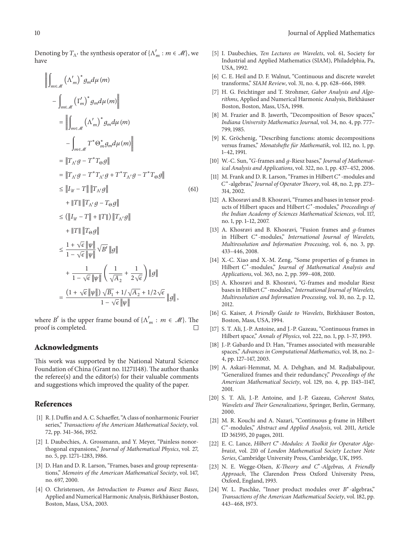$$
-\int_{m\in\mathcal{M}} \left(\Gamma'_{m}\right)^{*} g_{m} d\mu(m)\Big|
$$
  
\n
$$
=\left\|\int_{m\in\mathcal{M}} \left(\Lambda'_{m}\right)^{*} g_{m} d\mu(m)\right\|
$$
  
\n
$$
-\int_{m\in\mathcal{M}} T^{*} \Theta_{m}^{*} g_{m} d\mu(m)\Big|
$$
  
\n
$$
=\left\|T_{\Lambda'} g - T^{*} T_{\Theta} g\right\|
$$
  
\n
$$
=\left\|T_{\Lambda'} g - T^{*} T_{\Lambda'} g + T^{*} T_{\Lambda'} g - T^{*} T_{\Theta} g\right\|
$$
  
\n
$$
\leq\left\|I_{\mathcal{U}} - T\right\| \left\|T_{\Lambda'} g\right\|
$$
  
\n
$$
\leq (\left\|I_{\mathcal{U}} - T\right\| + \left\|T\right\|) \left\|T_{\Lambda'} g\right\|
$$
  
\n
$$
+\left\|T\right\| \left\|T_{\Theta} g\right\|
$$
  
\n
$$
\leq \frac{1 + \sqrt{\epsilon} \left\|\psi\right\|}{1 - \sqrt{\epsilon} \left\|\psi\right\|} \sqrt{B'} \left\|g\right\|
$$
  
\n
$$
+\frac{1}{1 - \sqrt{\epsilon} \left\|\psi\right\|} \left(\frac{1}{\sqrt{A_2}} + \frac{1}{2\sqrt{\epsilon}}\right) \left\|g\right\|
$$
  
\n
$$
=\frac{\left(1 + \sqrt{\epsilon} \left\|\psi\right\| \right) \sqrt{B_1} + 1/\sqrt{A_2} + 1/2\sqrt{\epsilon}}{1 - \sqrt{\epsilon} \left\|\psi\right\|} \sqrt{B'} \left\|g\right\|
$$

where  $B'$  is the upper frame bound of  $\{\Lambda'_m : m \in \mathcal{M}\}\)$ . The proof is completed.

#### **Acknowledgments**

This work was supported by the National Natural Science Foundation of China (Grant no. 11271148). The author thanks the referee(s) and the editor(s) for their valuable comments and suggestions which improved the quality of the paper.

#### **References**

- [1] R. J. Duffin and A. C. Schaeffer, "A class of nonharmonic Fourier series," *Transactions of the American Mathematical Society*, vol. 72, pp. 341–366, 1952.
- [2] I. Daubechies, A. Grossmann, and Y. Meyer, "Painless nonorthogonal expansions," *Journal of Mathematical Physics*, vol. 27, no. 5, pp. 1271–1283, 1986.
- [3] D. Han and D. R. Larson, "Frames, bases and group representations," *Memoirs of the American Mathematical Society*, vol. 147, no. 697, 2000.
- [4] O. Christensen, *An Introduction to Frames and Riesz Bases*, Applied and Numerical Harmonic Analysis, Birkhäuser Boston, Boston, Mass, USA, 2003.
- [5] I. Daubechies, *Ten Lectures on Wavelets*, vol. 61, Society for Industrial and Applied Mathematics (SIAM), Philadelphia, Pa, USA, 1992.
- [6] C. E. Heil and D. F. Walnut, "Continuous and discrete wavelet transforms," *SIAM Review*, vol. 31, no. 4, pp. 628–666, 1989.
- [7] H. G. Feichtinger and T. Strohmer, *Gabor Analysis and Algorithms*, Applied and Numerical Harmonic Analysis, Birkhäuser Boston, Boston, Mass, USA, 1998.
- [8] M. Frazier and B. Jawerth, "Decomposition of Besov spaces," *Indiana University Mathematics Journal*, vol. 34, no. 4, pp. 777– 799, 1985.
- [9] K. Gröchenig, "Describing functions: atomic decompositions versus frames," *Monatshefte für Mathematik*, vol. 112, no. 1, pp. 1–42, 1991.
- [10] W.-C. Sun, "G-frames and g-Riesz bases," *Journal of Mathematical Analysis and Applications*, vol. 322, no. 1, pp. 437–452, 2006.
- [11] M. Frank and D. R. Larson, "Frames in Hilbert  $C^*$ -modules and <sup>∗</sup>-algebras," *Journal of Operator Theory*, vol. 48, no. 2, pp. 273– 314, 2002.
- [12] A. Khosravi and B. Khosravi, "Frames and bases in tensor products of Hilbert spaces and Hilbert C<sup>\*</sup>-modules," *Proceedings of the Indian Academy of Sciences Mathematical Sciences*, vol. 117, no. 1, pp. 1–12, 2007.
- [13] A. Khosravi and B. Khosravi, "Fusion frames and  $q$ -frames in Hilbert C<sup>\*</sup>-modules," *International Journal of Wavelets*, *Multiresolution and Information Processing*, vol. 6, no. 3, pp. 433–446, 2008.
- [14] X.-C. Xiao and X.-M. Zeng, "Some properties of g-frames in Hilbert C<sup>\*</sup>-modules," *Journal of Mathematical Analysis and Applications*, vol. 363, no. 2, pp. 399–408, 2010.
- [15] A. Khosravi and B. Khosravi, "G-frames and modular Riesz bases in Hilbert C<sup>\*</sup>-modules," *International Journal of Wavelets*, *Multiresolution and Information Processing*, vol. 10, no. 2, p. 12, 2012.
- [16] G. Kaiser, *A Friendly Guide to Wavelets*, Birkhäuser Boston, Boston, Mass, USA, 1994.
- [17] S. T. Ali, J.-P. Antoine, and J.-P. Gazeau, "Continuous frames in Hilbert space," *Annals of Physics*, vol. 222, no. 1, pp. 1–37, 1993.
- [18] J.-P. Gabardo and D. Han, "Frames associated with measurable spaces," *Advances in Computational Mathematics*, vol. 18, no. 2– 4, pp. 127–147, 2003.
- [19] A. Askari-Hemmat, M. A. Dehghan, and M. Radjabalipour, "Generalized frames and their redundancy," *Proceedings of the American Mathematical Society*, vol. 129, no. 4, pp. 1143–1147, 2001.
- [20] S. T. Ali, J.-P. Antoine, and J.-P. Gazeau, *Coherent States, Wavelets and Their Generalizations*, Springer, Berlin, Germany, 2000.
- [21] M. R. Kouchi and A. Nazari, "Continuous g-frame in Hilbert <sup>∗</sup>-modules," *Abstract and Applied Analysis*, vol. 2011, Article ID 361595, 20 pages, 2011.
- [22] E. C. Lance, *Hilbert C*<sup>∗</sup>*-Modules: A Toolkit for Operator Algebraist*, vol. 210 of *London Mathematical Society Lecture Note Series*, Cambridge University Press, Cambridge, UK, 1995.
- [23] N. E. Wegge-Olsen, *K-Theory and C*<sup>∗</sup>*-Algebras, A Friendly Approach*, The Clarendon Press Oxford University Press, Oxford, England, 1993.
- [24] W. L. Paschke, "Inner product modules over B<sup>\*</sup>-algebras," *Transactions of the American Mathematical Society*, vol. 182, pp. 443–468, 1973.

have